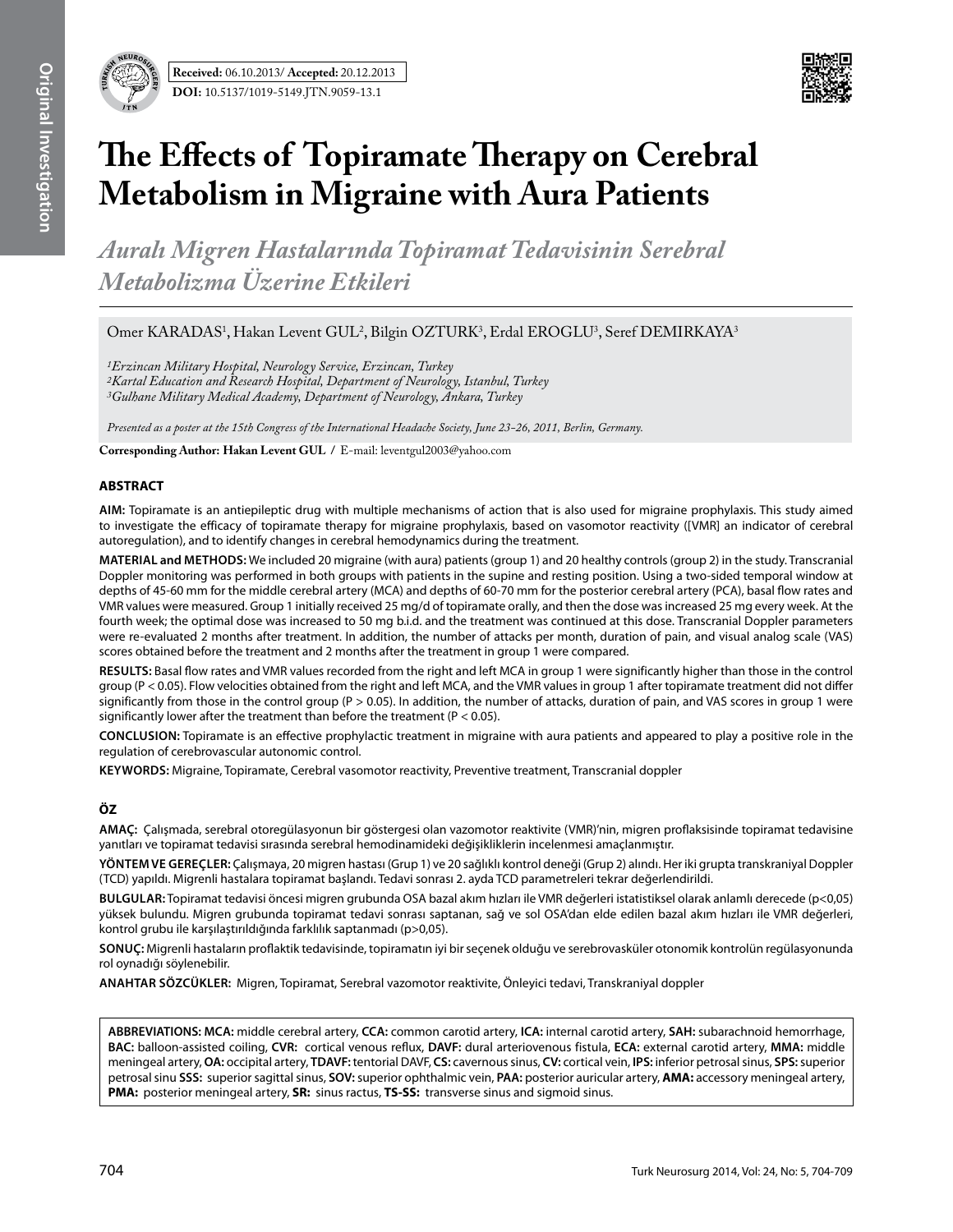

# **The Effects of Topiramate Therapy on Cerebral Metabolism in Migraine with Aura Patients**

*Auralı Migren Hastalarında Topiramat Tedavisinin Serebral Metabolizma Üzerine Etkileri*

Omer KARADAS<sup>1</sup>, Hakan Levent GUL<sup>2</sup>, Bilgin OZTURK<sup>3</sup>, Erdal EROGLU<sup>3</sup>, Seref DEMIRKAYA<sup>3</sup>

*1Erzincan Military Hospital, Neurology Service, Erzincan, Turkey 2Kartal Education and Research Hospital, Department of Neurology, Istanbul, Turkey 3Gulhane Military Medical Academy, Department of Neurology, Ankara, Turkey* 

*Presented as a poster at the 15th Congress of the International Headache Society, June 23-26, 2011, Berlin, Germany.*

**Corresponding Author: Hakan Levent GUL /** E-mail: leventgul2003@yahoo.com

#### **ABSTRACT**

**AIm:** Topiramate is an antiepileptic drug with multiple mechanisms of action that is also used for migraine prophylaxis. This study aimed to investigate the efficacy of topiramate therapy for migraine prophylaxis, based on vasomotor reactivity ([VMR] an indicator of cerebral autoregulation), and to identify changes in cerebral hemodynamics during the treatment.

**MaterIal and Methods:** We included 20 migraine (with aura) patients (group 1) and 20 healthy controls (group 2) in the study. Transcranial Doppler monitoring was performed in both groups with patients in the supine and resting position. Using a two-sided temporal window at depths of 45-60 mm for the middle cerebral artery (MCA) and depths of 60-70 mm for the posterior cerebral artery (PCA), basal flow rates and VMR values were measured. Group 1 initially received 25 mg/d of topiramate orally, and then the dose was increased 25 mg every week. At the fourth week; the optimal dose was increased to 50 mg b.i.d. and the treatment was continued at this dose. Transcranial Doppler parameters were re-evaluated 2 months after treatment. In addition, the number of attacks per month, duration of pain, and visual analog scale (VAS) scores obtained before the treatment and 2 months after the treatment in group 1 were compared.

**Results:** Basal flow rates and VMR values recorded from the right and left MCA in group 1 were significantly higher than those in the control group (P < 0.05). Flow velocities obtained from the right and left MCA, and the VMR values in group 1 after topiramate treatment did not differ significantly from those in the control group ( $P > 0.05$ ). In addition, the number of attacks, duration of pain, and VAS scores in group 1 were significantly lower after the treatment than before the treatment (P < 0.05).

**ConclusIon:** Topiramate is an effective prophylactic treatment in migraine with aura patients and appeared to play a positive role in the regulation of cerebrovascular autonomic control.

**Keywords:** Migraine, Topiramate, Cerebral vasomotor reactivity, Preventive treatment, Transcranial doppler

## **ÖZ**

**AMAÇ:** Çalışmada, serebral otoregülasyonun bir göstergesi olan vazomotor reaktivite (VMR)'nin, migren proflaksisinde topiramat tedavisine yanıtları ve topiramat tedavisi sırasında serebral hemodinamideki değişikliklerin incelenmesi amaçlanmıştır.

**Yöntem ve GereçLER:** Çalışmaya, 20 migren hastası (Grup 1) ve 20 sağlıklı kontrol deneği (Grup 2) alındı. Her iki grupta transkraniyal Doppler (TCD) yapıldı. Migrenli hastalara topiramat başlandı. Tedavi sonrası 2. ayda TCD parametreleri tekrar değerlendirildi.

**Bulgular:** Topiramat tedavisi öncesi migren grubunda OSA bazal akım hızları ile VMR değerleri istatistiksel olarak anlamlı derecede (p<0,05) yüksek bulundu. Migren grubunda topiramat tedavi sonrası saptanan, sağ ve sol OSA'dan elde edilen bazal akım hızları ile VMR değerleri, kontrol grubu ile karşılaştırıldığında farklılık saptanmadı (p>0,05).

**Sonuç:** Migrenli hastaların proflaktik tedavisinde, topiramatın iyi bir seçenek olduğu ve serebrovasküler otonomik kontrolün regülasyonunda rol oynadığı söylenebilir.

**ANAHTAR SÖZCÜKLER:** Migren, Topiramat, Serebral vazomotor reaktivite, Önleyici tedavi, Transkraniyal doppler

**ABBREVIATIONS: MCA:** middle cerebral artery, **CCA:** common carotid artery, **ICA:** internal carotid artery, **SAH:** subarachnoid hemorrhage, **BAC:** balloon-assisted coiling, **CVR:** cortical venous reflux, **DAVF:** dural arteriovenous fistula, **ECA:** external carotid artery, **MMA:** middle meningeal artery, **OA:** occipital artery, **TDAVF:** tentorial DAVF, **CS:** cavernous sinus, **CV:** cortical vein, **IPS:** inferior petrosal sinus, **SPS:** superior petrosal sinu **SSS:** superior sagittal sinus, **SOV:** superior ophthalmic vein, **PAA:** posterior auricular artery, **AMA:** accessory meningeal artery, **PMA:** posterior meningeal artery, **SR:** sinus ractus, **TS-SS:** transverse sinus and sigmoid sinus.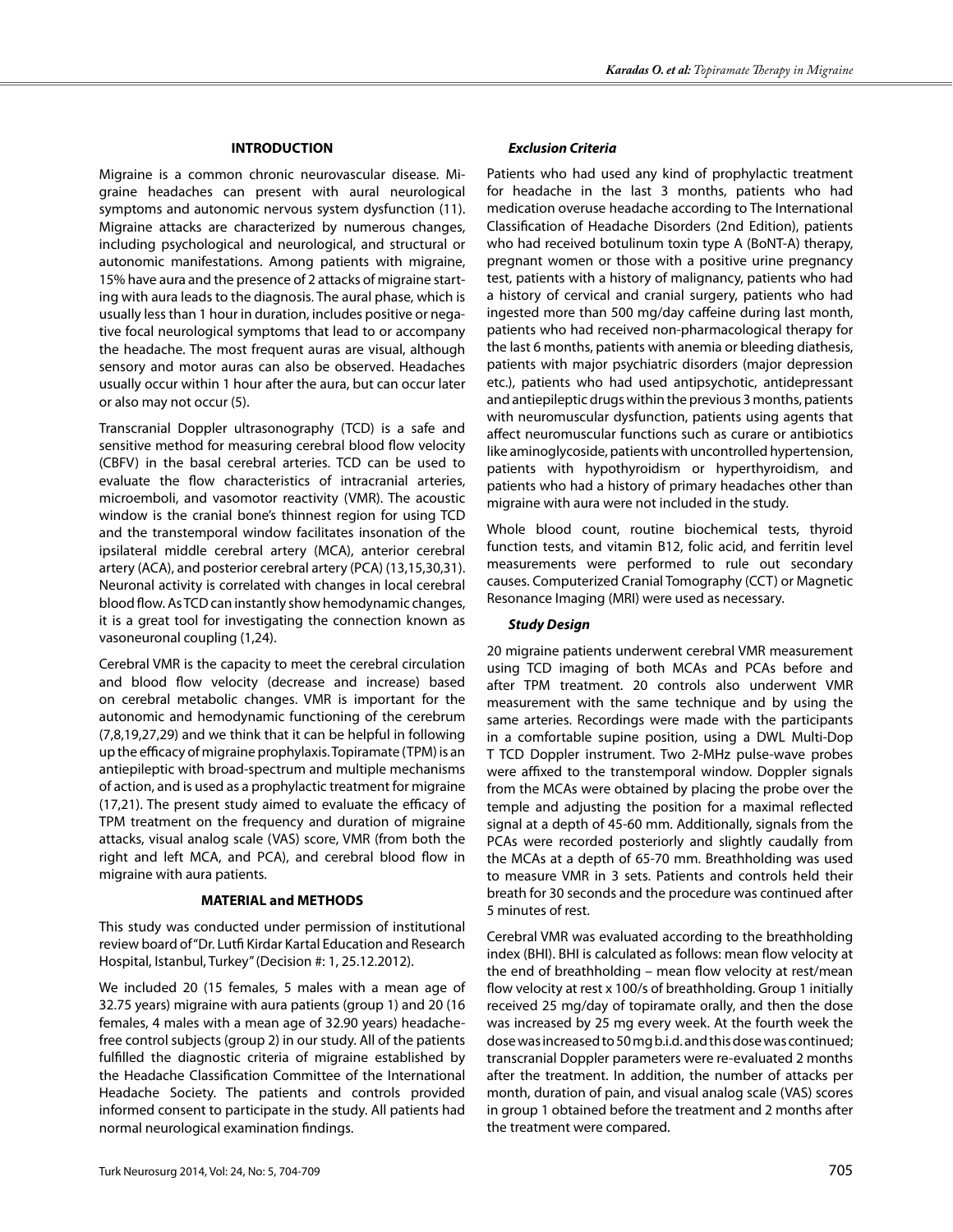#### **INTRODUCTION**

Migraine is a common chronic neurovascular disease. Migraine headaches can present with aural neurological symptoms and autonomic nervous system dysfunction (11). Migraine attacks are characterized by numerous changes, including psychological and neurological, and structural or autonomic manifestations. Among patients with migraine, 15% have aura and the presence of 2 attacks of migraine starting with aura leads to the diagnosis. The aural phase, which is usually less than 1 hour in duration, includes positive or negative focal neurological symptoms that lead to or accompany the headache. The most frequent auras are visual, although sensory and motor auras can also be observed. Headaches usually occur within 1 hour after the aura, but can occur later or also may not occur (5).

Transcranial Doppler ultrasonography (TCD) is a safe and sensitive method for measuring cerebral blood flow velocity (CBFV) in the basal cerebral arteries. TCD can be used to evaluate the flow characteristics of intracranial arteries, microemboli, and vasomotor reactivity (VMR). The acoustic window is the cranial bone's thinnest region for using TCD and the transtemporal window facilitates insonation of the ipsilateral middle cerebral artery (MCA), anterior cerebral artery (ACA), and posterior cerebral artery (PCA) (13,15,30,31). Neuronal activity is correlated with changes in local cerebral blood flow. As TCD can instantly show hemodynamic changes, it is a great tool for investigating the connection known as vasoneuronal coupling (1,24).

Cerebral VMR is the capacity to meet the cerebral circulation and blood flow velocity (decrease and increase) based on cerebral metabolic changes. VMR is important for the autonomic and hemodynamic functioning of the cerebrum (7,8,19,27,29) and we think that it can be helpful in following up the efficacy of migraine prophylaxis. Topiramate (TPM) is an antiepileptic with broad-spectrum and multiple mechanisms of action, and is used as a prophylactic treatment for migraine (17,21). The present study aimed to evaluate the efficacy of TPM treatment on the frequency and duration of migraine attacks, visual analog scale (VAS) score, VMR (from both the right and left MCA, and PCA), and cerebral blood flow in migraine with aura patients.

#### **MATERIAL and METHODS**

This study was conducted under permission of institutional review board of "Dr. Lutfi Kirdar Kartal Education and Research Hospital, Istanbul, Turkey" (Decision #: 1, 25.12.2012).

We included 20 (15 females, 5 males with a mean age of 32.75 years) migraine with aura patients (group 1) and 20 (16 females, 4 males with a mean age of 32.90 years) headachefree control subjects (group 2) in our study. All of the patients fulfilled the diagnostic criteria of migraine established by the Headache Classification Committee of the International Headache Society. The patients and controls provided informed consent to participate in the study. All patients had normal neurological examination findings.

#### *Exclusion Criteria*

Patients who had used any kind of prophylactic treatment for headache in the last 3 months, patients who had medication overuse headache according to The International Classification of Headache Disorders (2nd Edition), patients who had received botulinum toxin type A (BoNT-A) therapy, pregnant women or those with a positive urine pregnancy test, patients with a history of malignancy, patients who had a history of cervical and cranial surgery, patients who had ingested more than 500 mg/day caffeine during last month, patients who had received non-pharmacological therapy for the last 6 months, patients with anemia or bleeding diathesis, patients with major psychiatric disorders (major depression etc.), patients who had used antipsychotic, antidepressant and antiepileptic drugs within the previous 3 months, patients with neuromuscular dysfunction, patients using agents that affect neuromuscular functions such as curare or antibiotics like aminoglycoside, patients with uncontrolled hypertension, patients with hypothyroidism or hyperthyroidism, and patients who had a history of primary headaches other than migraine with aura were not included in the study.

Whole blood count, routine biochemical tests, thyroid function tests, and vitamin B12, folic acid, and ferritin level measurements were performed to rule out secondary causes. Computerized Cranial Tomography (CCT) or Magnetic Resonance Imaging (MRI) were used as necessary.

#### *Study Design*

20 migraine patients underwent cerebral VMR measurement using TCD imaging of both MCAs and PCAs before and after TPM treatment. 20 controls also underwent VMR measurement with the same technique and by using the same arteries. Recordings were made with the participants in a comfortable supine position, using a DWL Multi-Dop T TCD Doppler instrument. Two 2-MHz pulse-wave probes were affixed to the transtemporal window. Doppler signals from the MCAs were obtained by placing the probe over the temple and adjusting the position for a maximal reflected signal at a depth of 45-60 mm. Additionally, signals from the PCAs were recorded posteriorly and slightly caudally from the MCAs at a depth of 65-70 mm. Breathholding was used to measure VMR in 3 sets. Patients and controls held their breath for 30 seconds and the procedure was continued after 5 minutes of rest.

Cerebral VMR was evaluated according to the breathholding index (BHI). BHI is calculated as follows: mean flow velocity at the end of breathholding – mean flow velocity at rest/mean flow velocity at rest x 100/s of breathholding. Group 1 initially received 25 mg/day of topiramate orally, and then the dose was increased by 25 mg every week. At the fourth week the dose was increased to 50 mg b.i.d. and this dose was continued; transcranial Doppler parameters were re-evaluated 2 months after the treatment. In addition, the number of attacks per month, duration of pain, and visual analog scale (VAS) scores in group 1 obtained before the treatment and 2 months after the treatment were compared.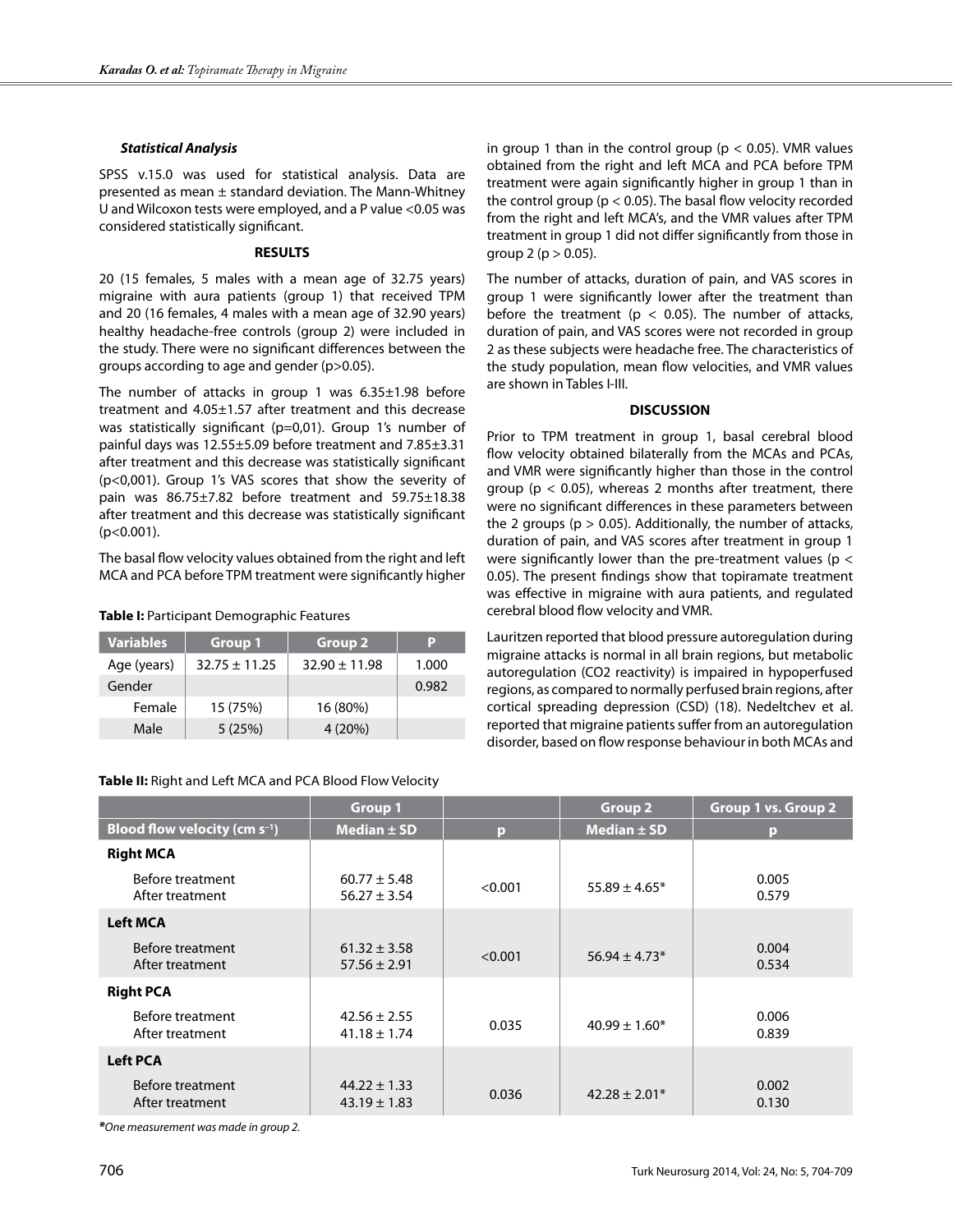#### *Statistical Analysis*

SPSS v.15.0 was used for statistical analysis. Data are presented as mean ± standard deviation. The Mann-Whitney U and Wilcoxon tests were employed, and a P value <0.05 was considered statistically significant.

#### **RESULTS**

20 (15 females, 5 males with a mean age of 32.75 years) migraine with aura patients (group 1) that received TPM and 20 (16 females, 4 males with a mean age of 32.90 years) healthy headache-free controls (group 2) were included in the study. There were no significant differences between the groups according to age and gender (p>0.05).

The number of attacks in group 1 was 6.35±1.98 before treatment and 4.05±1.57 after treatment and this decrease was statistically significant (p=0,01). Group 1's number of painful days was 12.55±5.09 before treatment and 7.85±3.31 after treatment and this decrease was statistically significant (p<0,001). Group 1's VAS scores that show the severity of pain was 86.75±7.82 before treatment and 59.75±18.38 after treatment and this decrease was statistically significant (p<0.001).

The basal flow velocity values obtained from the right and left MCA and PCA before TPM treatment were significantly higher

#### **Table I:** Participant Demographic Features

| Variables   | <b>Group 1</b>    | <b>Group 2</b>    | E     |
|-------------|-------------------|-------------------|-------|
| Age (years) | $32.75 \pm 11.25$ | $32.90 \pm 11.98$ | 1.000 |
| Gender      |                   |                   | 0.982 |
| Female      | 15 (75%)          | 16 (80%)          |       |
| Male        | 5(25%)            | 4(20%)            |       |

#### **Table II:** Right and Left MCA and PCA Blood Flow Velocity

in group 1 than in the control group ( $p < 0.05$ ). VMR values obtained from the right and left MCA and PCA before TPM treatment were again significantly higher in group 1 than in the control group ( $p < 0.05$ ). The basal flow velocity recorded from the right and left MCA's, and the VMR values after TPM treatment in group 1 did not differ significantly from those in group 2 ( $p > 0.05$ ).

The number of attacks, duration of pain, and VAS scores in group 1 were significantly lower after the treatment than before the treatment ( $p < 0.05$ ). The number of attacks, duration of pain, and VAS scores were not recorded in group 2 as these subjects were headache free. The characteristics of the study population, mean flow velocities, and VMR values are shown in Tables I-III.

### **DISCUSSION**

Prior to TPM treatment in group 1, basal cerebral blood flow velocity obtained bilaterally from the MCAs and PCAs, and VMR were significantly higher than those in the control group ( $p < 0.05$ ), whereas 2 months after treatment, there were no significant differences in these parameters between the 2 groups ( $p > 0.05$ ). Additionally, the number of attacks, duration of pain, and VAS scores after treatment in group 1 were significantly lower than the pre-treatment values ( $p <$ 0.05). The present findings show that topiramate treatment was effective in migraine with aura patients, and regulated cerebral blood flow velocity and VMR.

Lauritzen reported that blood pressure autoregulation during migraine attacks is normal in all brain regions, but metabolic autoregulation (CO2 reactivity) is impaired in hypoperfused regions, as compared to normally perfused brain regions, after cortical spreading depression (CSD) (18). Nedeltchev et al. reported that migraine patients suffer from an autoregulation disorder, based on flow response behaviour in both MCAs and

|                                           | <b>Group 1</b>                       |         | <b>Group 2</b>    | <b>Group 1 vs. Group 2</b> |
|-------------------------------------------|--------------------------------------|---------|-------------------|----------------------------|
| Blood flow velocity (cm s <sup>-1</sup> ) | Median $\pm$ SD                      | p       | Median $\pm$ SD   | р                          |
| <b>Right MCA</b>                          |                                      |         |                   |                            |
| Before treatment<br>After treatment       | $60.77 \pm 5.48$<br>$56.27 \pm 3.54$ | < 0.001 | $55.89 \pm 4.65*$ | 0.005<br>0.579             |
| <b>Left MCA</b>                           |                                      |         |                   |                            |
| Before treatment<br>After treatment       | $61.32 \pm 3.58$<br>$57.56 \pm 2.91$ | < 0.001 | $56.94 \pm 4.73*$ | 0.004<br>0.534             |
| <b>Right PCA</b>                          |                                      |         |                   |                            |
| Before treatment<br>After treatment       | $42.56 \pm 2.55$<br>$41.18 \pm 1.74$ | 0.035   | $40.99 \pm 1.60*$ | 0.006<br>0.839             |
| <b>Left PCA</b>                           |                                      |         |                   |                            |
| Before treatment<br>After treatment       | $44.22 \pm 1.33$<br>$43.19 \pm 1.83$ | 0.036   | $42.28 \pm 2.01*$ | 0.002<br>0.130             |

*\*One measurement was made in group 2.*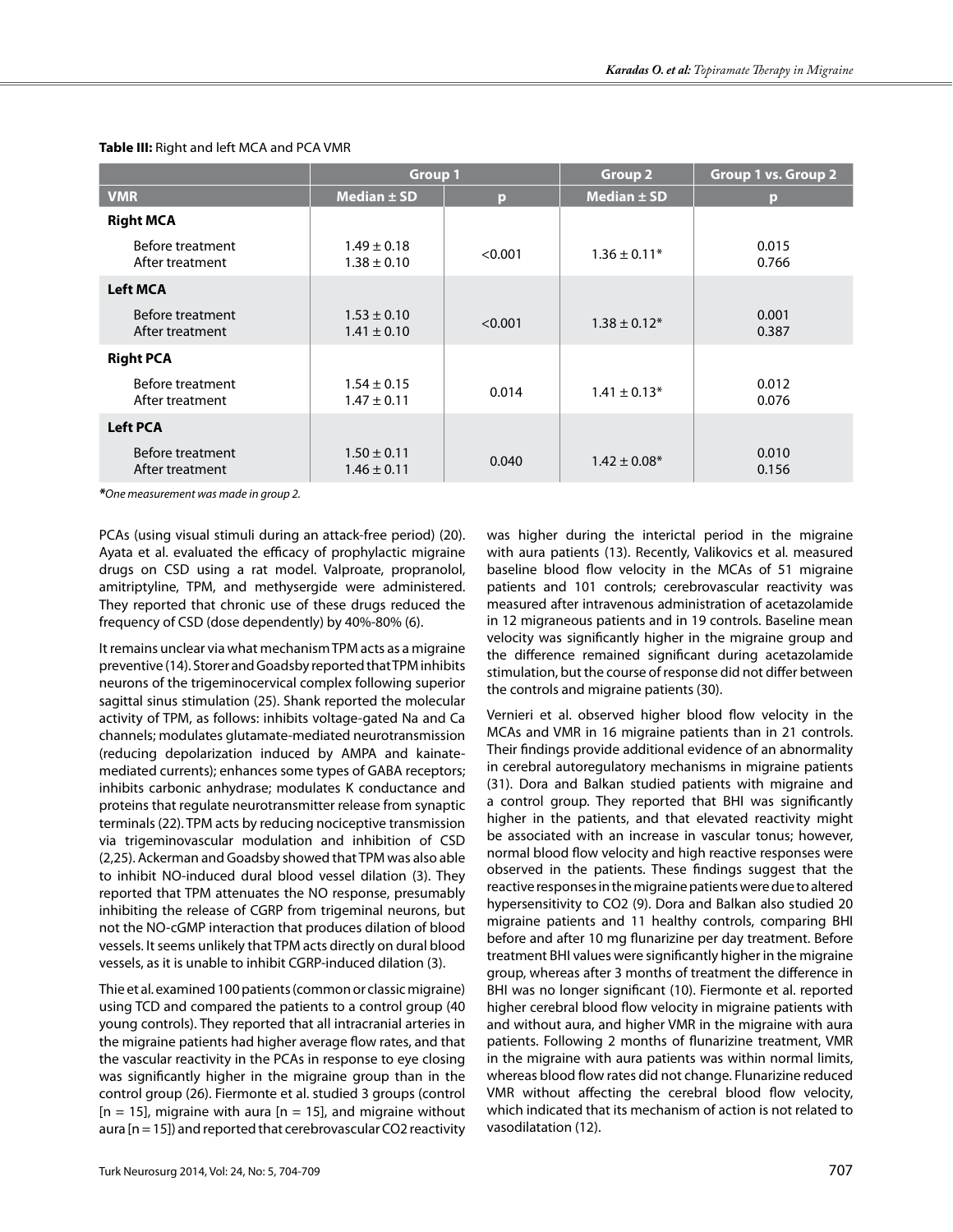|                                     | <b>Group 1</b>                     |         | <b>Group 2</b>   | <b>Group 1 vs. Group 2</b> |
|-------------------------------------|------------------------------------|---------|------------------|----------------------------|
| <b>VMR</b>                          | Median $\pm$ SD                    | p       | Median $\pm$ SD  | р                          |
| <b>Right MCA</b>                    |                                    |         |                  |                            |
| Before treatment<br>After treatment | $1.49 \pm 0.18$<br>$1.38 \pm 0.10$ | < 0.001 | $1.36 \pm 0.11*$ | 0.015<br>0.766             |
| <b>Left MCA</b>                     |                                    |         |                  |                            |
| Before treatment<br>After treatment | $1.53 \pm 0.10$<br>$1.41 \pm 0.10$ | < 0.001 | $1.38 \pm 0.12*$ | 0.001<br>0.387             |
| <b>Right PCA</b>                    |                                    |         |                  |                            |
| Before treatment<br>After treatment | $1.54 \pm 0.15$<br>$1.47 \pm 0.11$ | 0.014   | $1.41 \pm 0.13*$ | 0.012<br>0.076             |
| <b>Left PCA</b>                     |                                    |         |                  |                            |
| Before treatment<br>After treatment | $1.50 \pm 0.11$<br>$1.46 \pm 0.11$ | 0.040   | $1.42 \pm 0.08*$ | 0.010<br>0.156             |

#### **Table III:** Right and left MCA and PCA VMR

*\*One measurement was made in group 2.*

PCAs (using visual stimuli during an attack-free period) (20). Ayata et al. evaluated the efficacy of prophylactic migraine drugs on CSD using a rat model. Valproate, propranolol, amitriptyline, TPM, and methysergide were administered. They reported that chronic use of these drugs reduced the frequency of CSD (dose dependently) by 40%-80% (6).

It remains unclear via what mechanism TPM acts as a migraine preventive (14). Storer and Goadsby reported that TPM inhibits neurons of the trigeminocervical complex following superior sagittal sinus stimulation (25). Shank reported the molecular activity of TPM, as follows: inhibits voltage-gated Na and Ca channels; modulates glutamate-mediated neurotransmission (reducing depolarization induced by AMPA and kainatemediated currents); enhances some types of GABA receptors; inhibits carbonic anhydrase; modulates K conductance and proteins that regulate neurotransmitter release from synaptic terminals (22). TPM acts by reducing nociceptive transmission via trigeminovascular modulation and inhibition of CSD (2,25). Ackerman and Goadsby showed that TPM was also able to inhibit NO-induced dural blood vessel dilation (3). They reported that TPM attenuates the NO response, presumably inhibiting the release of CGRP from trigeminal neurons, but not the NO-cGMP interaction that produces dilation of blood vessels. It seems unlikely that TPM acts directly on dural blood vessels, as it is unable to inhibit CGRP-induced dilation (3).

Thie et al. examined 100 patients (common or classic migraine) using TCD and compared the patients to a control group (40 young controls). They reported that all intracranial arteries in the migraine patients had higher average flow rates, and that the vascular reactivity in the PCAs in response to eye closing was significantly higher in the migraine group than in the control group (26). Fiermonte et al. studied 3 groups (control  $[n = 15]$ , migraine with aura  $[n = 15]$ , and migraine without aura [n = 15]) and reported that cerebrovascular CO2 reactivity

was higher during the interictal period in the migraine with aura patients (13). Recently, Valikovics et al. measured baseline blood flow velocity in the MCAs of 51 migraine patients and 101 controls; cerebrovascular reactivity was measured after intravenous administration of acetazolamide in 12 migraneous patients and in 19 controls. Baseline mean velocity was significantly higher in the migraine group and the difference remained significant during acetazolamide stimulation, but the course of response did not differ between the controls and migraine patients (30).

Vernieri et al. observed higher blood flow velocity in the MCAs and VMR in 16 migraine patients than in 21 controls. Their findings provide additional evidence of an abnormality in cerebral autoregulatory mechanisms in migraine patients (31). Dora and Balkan studied patients with migraine and a control group. They reported that BHI was significantly higher in the patients, and that elevated reactivity might be associated with an increase in vascular tonus; however, normal blood flow velocity and high reactive responses were observed in the patients. These findings suggest that the reactive responses in the migraine patients were due to altered hypersensitivity to CO2 (9). Dora and Balkan also studied 20 migraine patients and 11 healthy controls, comparing BHI before and after 10 mg flunarizine per day treatment. Before treatment BHI values were significantly higher in the migraine group, whereas after 3 months of treatment the difference in BHI was no longer significant (10). Fiermonte et al. reported higher cerebral blood flow velocity in migraine patients with and without aura, and higher VMR in the migraine with aura patients. Following 2 months of flunarizine treatment, VMR in the migraine with aura patients was within normal limits, whereas blood flow rates did not change. Flunarizine reduced VMR without affecting the cerebral blood flow velocity, which indicated that its mechanism of action is not related to vasodilatation (12).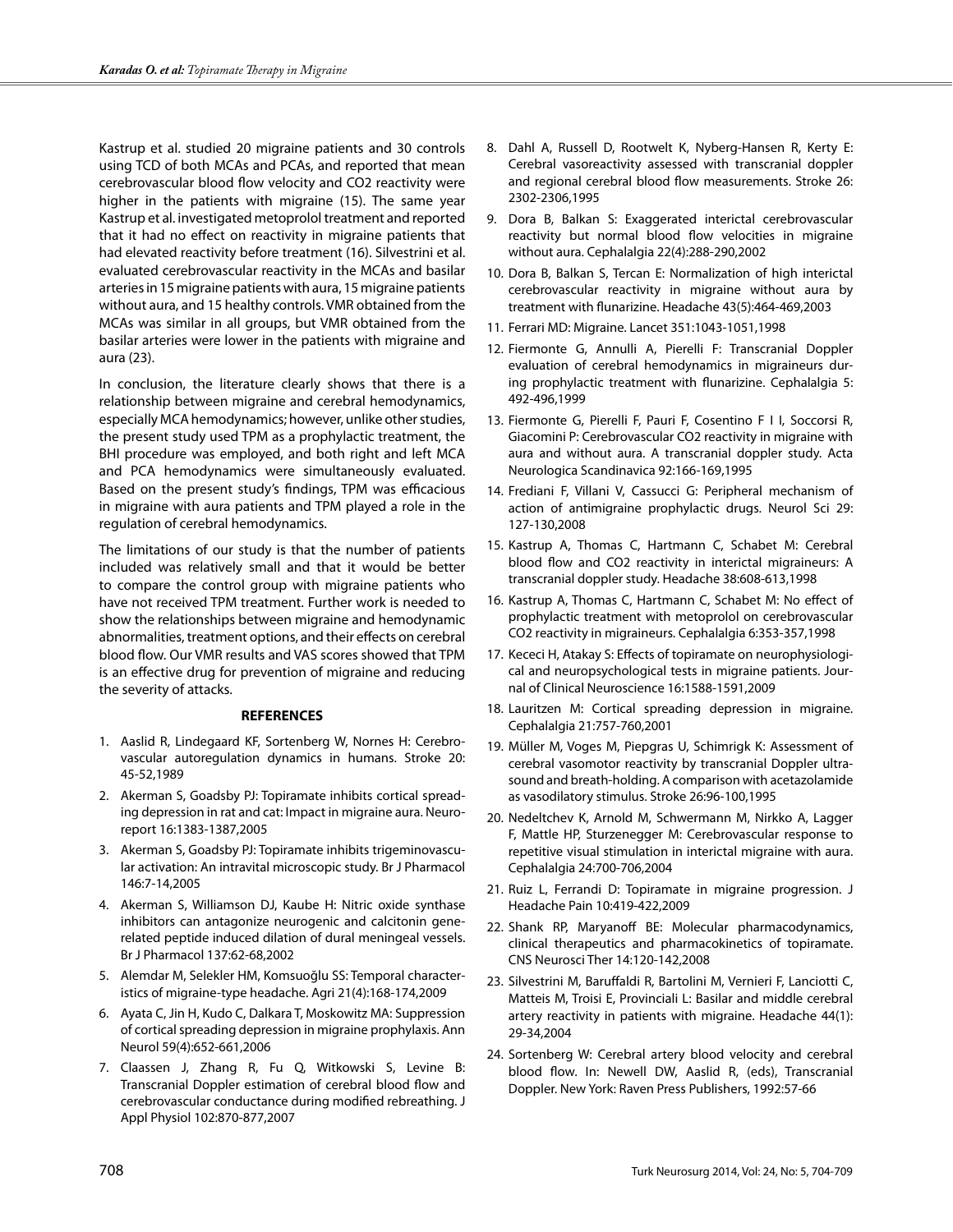Kastrup et al. studied 20 migraine patients and 30 controls using TCD of both MCAs and PCAs, and reported that mean cerebrovascular blood flow velocity and CO2 reactivity were higher in the patients with migraine (15). The same year Kastrup et al. investigated metoprolol treatment and reported that it had no effect on reactivity in migraine patients that had elevated reactivity before treatment (16). Silvestrini et al. evaluated cerebrovascular reactivity in the MCAs and basilar arteries in 15 migraine patients with aura, 15 migraine patients without aura, and 15 healthy controls. VMR obtained from the MCAs was similar in all groups, but VMR obtained from the basilar arteries were lower in the patients with migraine and aura (23).

In conclusion, the literature clearly shows that there is a relationship between migraine and cerebral hemodynamics, especially MCA hemodynamics; however, unlike other studies, the present study used TPM as a prophylactic treatment, the BHI procedure was employed, and both right and left MCA and PCA hemodynamics were simultaneously evaluated. Based on the present study's findings, TPM was efficacious in migraine with aura patients and TPM played a role in the regulation of cerebral hemodynamics.

The limitations of our study is that the number of patients included was relatively small and that it would be better to compare the control group with migraine patients who have not received TPM treatment. Further work is needed to show the relationships between migraine and hemodynamic abnormalities, treatment options, and their effects on cerebral blood flow. Our VMR results and VAS scores showed that TPM is an effective drug for prevention of migraine and reducing the severity of attacks.

#### **REFERENCES**

- 1. Aaslid R, Lindegaard KF, Sortenberg W, Nornes H: Cerebrovascular autoregulation dynamics in humans. Stroke 20: 45-52,1989
- 2. Akerman S, Goadsby PJ: Topiramate inhibits cortical spreading depression in rat and cat: Impact in migraine aura. Neuroreport 16:1383-1387,2005
- 3. Akerman S, Goadsby PJ: Topiramate inhibits trigeminovascular activation: An intravital microscopic study. Br J Pharmacol 146:7-14,2005
- 4. Akerman S, Williamson DJ, Kaube H: Nitric oxide synthase inhibitors can antagonize neurogenic and calcitonin generelated peptide induced dilation of dural meningeal vessels. Br J Pharmacol 137:62-68,2002
- 5. Alemdar M, Selekler HM, Komsuoğlu SS: Temporal characteristics of migraine-type headache. Agri 21(4):168-174,2009
- 6. Ayata C, Jin H, Kudo C, Dalkara T, Moskowitz MA: Suppression of cortical spreading depression in migraine prophylaxis. Ann Neurol 59(4):652-661,2006
- 7. Claassen J, Zhang R, Fu Q, Witkowski S, Levine B: Transcranial Doppler estimation of cerebral blood flow and cerebrovascular conductance during modified rebreathing. J Appl Physiol 102:870-877,2007
- 8. Dahl A, Russell D, Rootwelt K, Nyberg-Hansen R, Kerty E: Cerebral vasoreactivity assessed with transcranial doppler and regional cerebral blood flow measurements. Stroke 26: 2302-2306,1995
- 9. Dora B, Balkan S: Exaggerated interictal cerebrovascular reactivity but normal blood flow velocities in migraine without aura. Cephalalgia 22(4):288-290,2002
- 10. Dora B, Balkan S, Tercan E: Normalization of high interictal cerebrovascular reactivity in migraine without aura by treatment with flunarizine. Headache 43(5):464-469,2003
- 11. Ferrari MD: Migraine. Lancet 351:1043-1051,1998
- 12. Fiermonte G, Annulli A, Pierelli F: Transcranial Doppler evaluation of cerebral hemodynamics in migraineurs during prophylactic treatment with flunarizine. Cephalalgia 5: 492-496,1999
- 13. Fiermonte G, Pierelli F, Pauri F, Cosentino F I I, Soccorsi R, Giacomini P: Cerebrovascular CO2 reactivity in migraine with aura and without aura. A transcranial doppler study. Acta Neurologica Scandinavica 92:166-169,1995
- 14. Frediani F, Villani V, Cassucci G: Peripheral mechanism of action of antimigraine prophylactic drugs. Neurol Sci 29: 127-130,2008
- 15. Kastrup A, Thomas C, Hartmann C, Schabet M: Cerebral blood flow and CO2 reactivity in interictal migraineurs: A transcranial doppler study. Headache 38:608-613,1998
- 16. Kastrup A, Thomas C, Hartmann C, Schabet M: No effect of prophylactic treatment with metoprolol on cerebrovascular CO2 reactivity in migraineurs. Cephalalgia 6:353-357,1998
- 17. Kececi H, Atakay S: Effects of topiramate on neurophysiological and neuropsychological tests in migraine patients. Journal of Clinical Neuroscience 16:1588-1591,2009
- 18. Lauritzen M: Cortical spreading depression in migraine. Cephalalgia 21:757-760,2001
- 19. Müller M, Voges M, Piepgras U, Schimrigk K: Assessment of cerebral vasomotor reactivity by transcranial Doppler ultrasound and breath-holding. A comparison with acetazolamide as vasodilatory stimulus. Stroke 26:96-100,1995
- 20. Nedeltchev K, Arnold M, Schwermann M, Nirkko A, Lagger F, Mattle HP, Sturzenegger M: Cerebrovascular response to repetitive visual stimulation in interictal migraine with aura. Cephalalgia 24:700-706,2004
- 21. Ruiz L, Ferrandi D: Topiramate in migraine progression. J Headache Pain 10:419-422,2009
- 22. Shank RP, Maryanoff BE: Molecular pharmacodynamics, clinical therapeutics and pharmacokinetics of topiramate. CNS Neurosci Ther 14:120-142,2008
- 23. Silvestrini M, Baruffaldi R, Bartolini M, Vernieri F, Lanciotti C, Matteis M, Troisi E, Provinciali L: Basilar and middle cerebral artery reactivity in patients with migraine. Headache 44(1): 29-34,2004
- 24. Sortenberg W: Cerebral artery blood velocity and cerebral blood flow. In: Newell DW, Aaslid R, (eds), Transcranial Doppler. New York: Raven Press Publishers, 1992:57-66